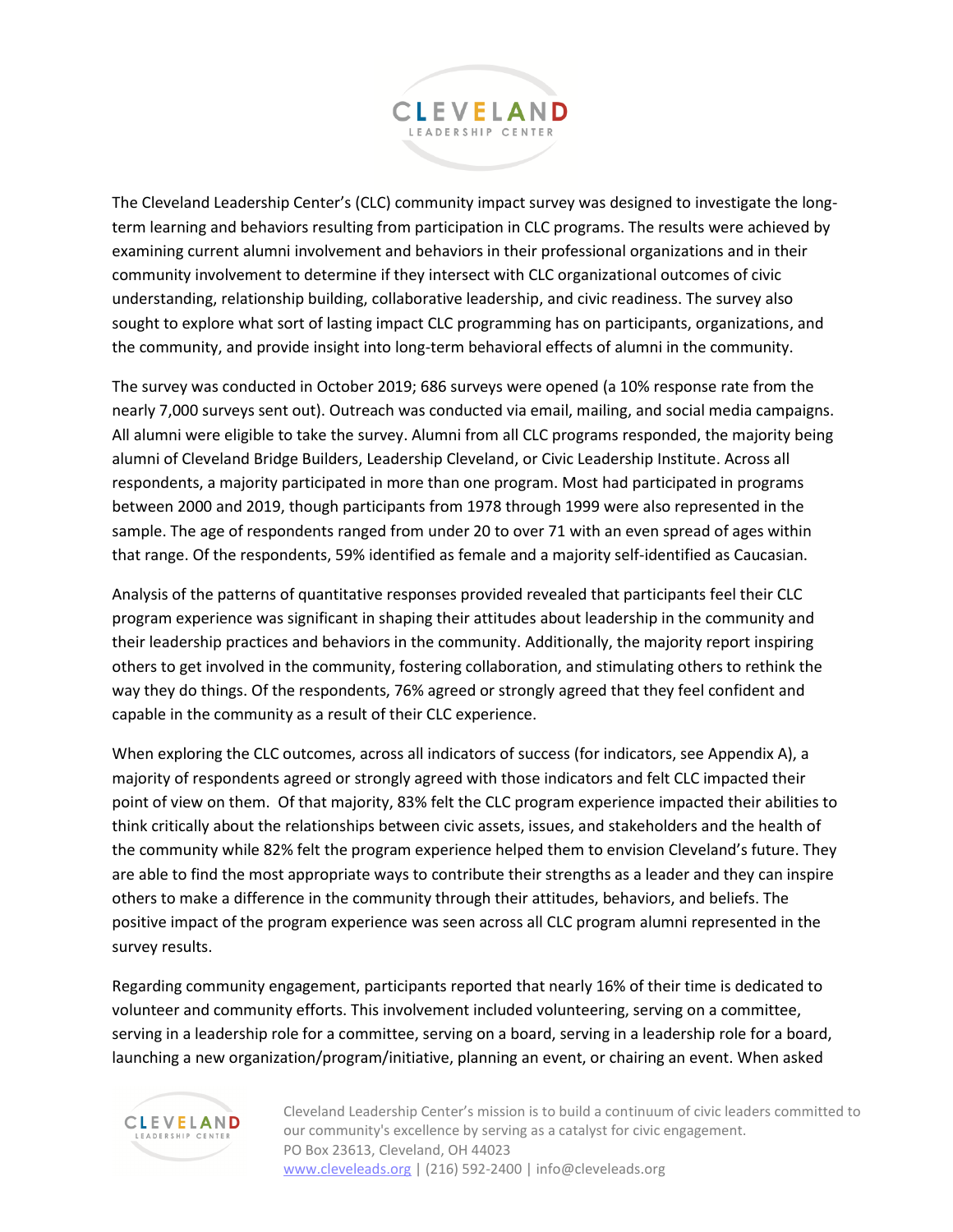

The Cleveland Leadership Center's (CLC) community impact survey was designed to investigate the longterm learning and behaviors resulting from participation in CLC programs. The results were achieved by examining current alumni involvement and behaviors in their professional organizations and in their community involvement to determine if they intersect with CLC organizational outcomes of civic understanding, relationship building, collaborative leadership, and civic readiness. The survey also sought to explore what sort of lasting impact CLC programming has on participants, organizations, and the community, and provide insight into long-term behavioral effects of alumni in the community.

The survey was conducted in October 2019; 686 surveys were opened (a 10% response rate from the nearly 7,000 surveys sent out). Outreach was conducted via email, mailing, and social media campaigns. All alumni were eligible to take the survey. Alumni from all CLC programs responded, the majority being alumni of Cleveland Bridge Builders, Leadership Cleveland, or Civic Leadership Institute. Across all respondents, a majority participated in more than one program. Most had participated in programs between 2000 and 2019, though participants from 1978 through 1999 were also represented in the sample. The age of respondents ranged from under 20 to over 71 with an even spread of ages within that range. Of the respondents, 59% identified as female and a majority self-identified as Caucasian.

Analysis of the patterns of quantitative responses provided revealed that participants feel their CLC program experience was significant in shaping their attitudes about leadership in the community and their leadership practices and behaviors in the community. Additionally, the majority report inspiring others to get involved in the community, fostering collaboration, and stimulating others to rethink the way they do things. Of the respondents, 76% agreed or strongly agreed that they feel confident and capable in the community as a result of their CLC experience.

When exploring the CLC outcomes, across all indicators of success (for indicators, see Appendix A), a majority of respondents agreed or strongly agreed with those indicators and felt CLC impacted their point of view on them. Of that majority, 83% felt the CLC program experience impacted their abilities to think critically about the relationships between civic assets, issues, and stakeholders and the health of the community while 82% felt the program experience helped them to envision Cleveland's future. They are able to find the most appropriate ways to contribute their strengths as a leader and they can inspire others to make a difference in the community through their attitudes, behaviors, and beliefs. The positive impact of the program experience was seen across all CLC program alumni represented in the survey results.

Regarding community engagement, participants reported that nearly 16% of their time is dedicated to volunteer and community efforts. This involvement included volunteering, serving on a committee, serving in a leadership role for a committee, serving on a board, serving in a leadership role for a board, launching a new organization/program/initiative, planning an event, or chairing an event. When asked



Cleveland Leadership Center's mission is to build a continuum of civic leaders committed to our community's excellence by serving as a catalyst for civic engagement. PO Box 23613, Cleveland, OH 44023 [www.cleveleads.org](http://www.cleveleads.org/) | (216) 592-2400 | info@cleveleads.org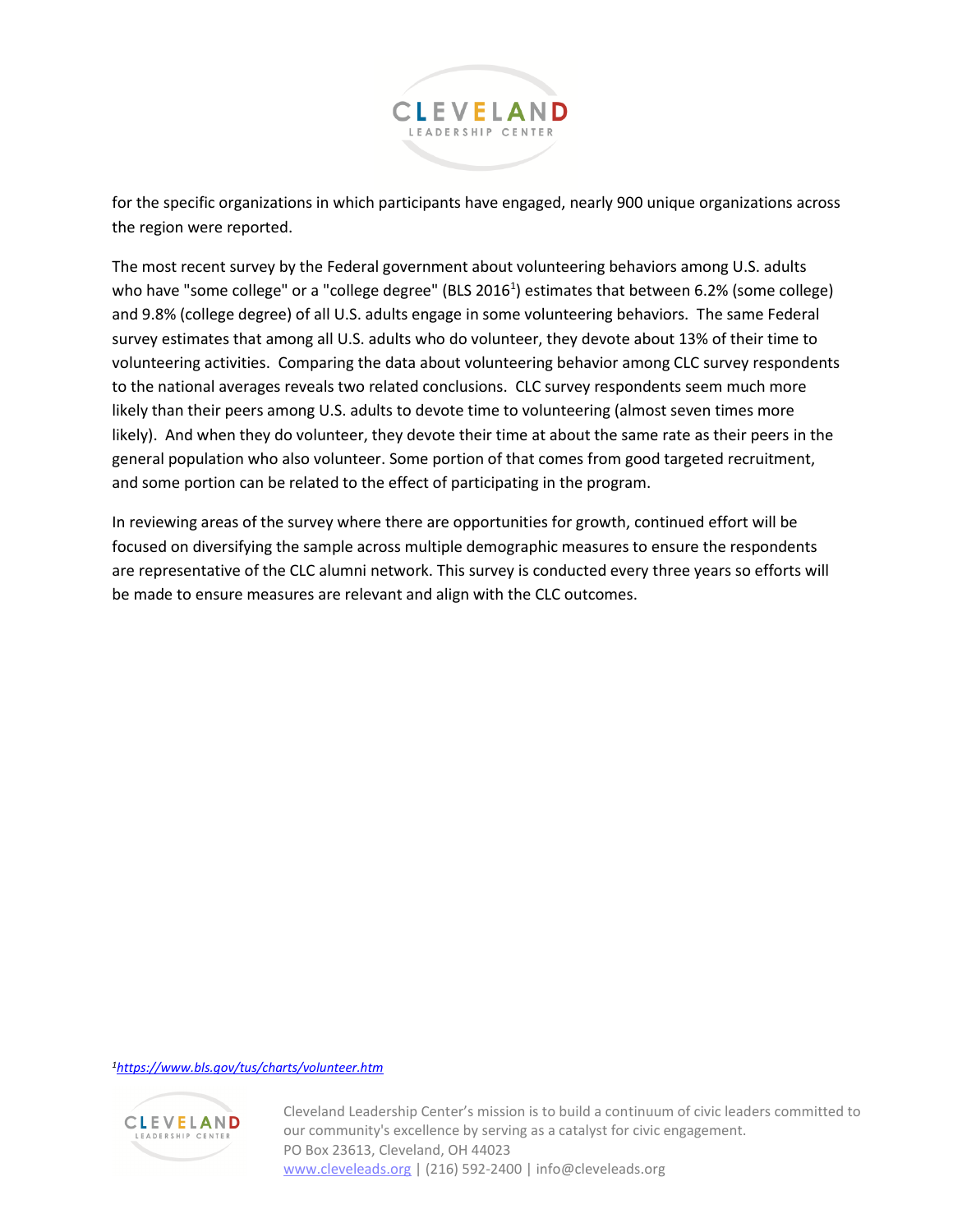

for the specific organizations in which participants have engaged, nearly 900 unique organizations across the region were reported.

The most recent survey by the Federal government about volunteering behaviors among U.S. adults who have "some college" or a "college degree" (BLS 2016<sup>1</sup>) estimates that between 6.2% (some college) and 9.8% (college degree) of all U.S. adults engage in some volunteering behaviors. The same Federal survey estimates that among all U.S. adults who do volunteer, they devote about 13% of their time to volunteering activities. Comparing the data about volunteering behavior among CLC survey respondents to the national averages reveals two related conclusions. CLC survey respondents seem much more likely than their peers among U.S. adults to devote time to volunteering (almost seven times more likely). And when they do volunteer, they devote their time at about the same rate as their peers in the general population who also volunteer. Some portion of that comes from good targeted recruitment, and some portion can be related to the effect of participating in the program.

In reviewing areas of the survey where there are opportunities for growth, continued effort will be focused on diversifying the sample across multiple demographic measures to ensure the respondents are representative of the CLC alumni network. This survey is conducted every three years so efforts will be made to ensure measures are relevant and align with the CLC outcomes.

## *1<https://www.bls.gov/tus/charts/volunteer.htm>*



Cleveland Leadership Center's mission is to build a continuum of civic leaders committed to our community's excellence by serving as a catalyst for civic engagement. PO Box 23613, Cleveland, OH 44023 [www.cleveleads.org](http://www.cleveleads.org/) | (216) 592-2400 | info@cleveleads.org